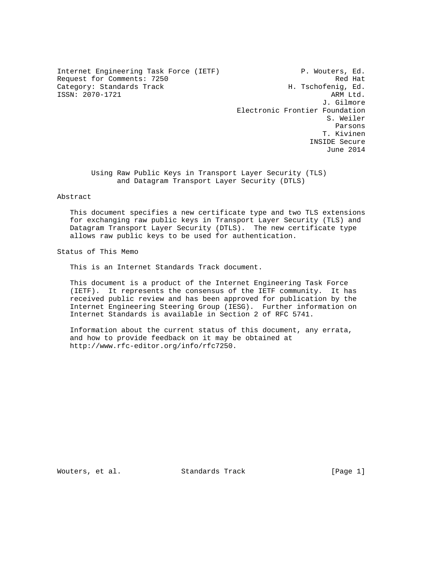Internet Engineering Task Force (IETF) P. Wouters, Ed. Request for Comments: 7250 Red Hat Category: Standards Track H. Tschofenig, Ed.<br>1930-1921 15SN: 2070-1721 ISSN: 2070-1721

 J. Gilmore Electronic Frontier Foundation S. Weiler Parsons and the contract of the contract of the contract of the contract of the contract of the contract of the contract of the contract of the contract of the contract of the contract of the contract of the contract of th T. Kivinen INSIDE Secure June 2014

> Using Raw Public Keys in Transport Layer Security (TLS) and Datagram Transport Layer Security (DTLS)

### Abstract

 This document specifies a new certificate type and two TLS extensions for exchanging raw public keys in Transport Layer Security (TLS) and Datagram Transport Layer Security (DTLS). The new certificate type allows raw public keys to be used for authentication.

Status of This Memo

This is an Internet Standards Track document.

 This document is a product of the Internet Engineering Task Force (IETF). It represents the consensus of the IETF community. It has received public review and has been approved for publication by the Internet Engineering Steering Group (IESG). Further information on Internet Standards is available in Section 2 of RFC 5741.

 Information about the current status of this document, any errata, and how to provide feedback on it may be obtained at http://www.rfc-editor.org/info/rfc7250.

Wouters, et al. Standards Track [Page 1]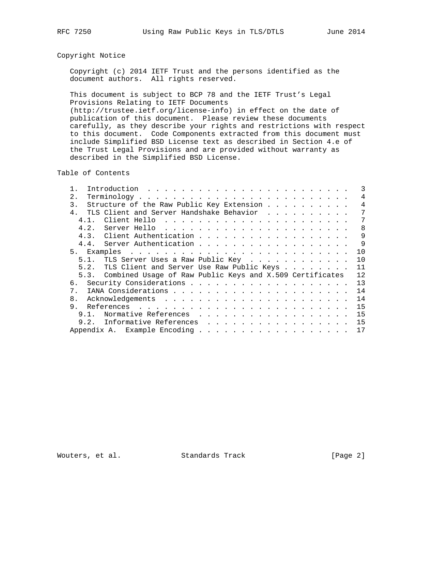# Copyright Notice

 Copyright (c) 2014 IETF Trust and the persons identified as the document authors. All rights reserved.

 This document is subject to BCP 78 and the IETF Trust's Legal Provisions Relating to IETF Documents (http://trustee.ietf.org/license-info) in effect on the date of publication of this document. Please review these documents carefully, as they describe your rights and restrictions with respect to this document. Code Components extracted from this document must include Simplified BSD License text as described in Section 4.e of the Trust Legal Provisions and are provided without warranty as described in the Simplified BSD License.

Table of Contents

|                                                               |  |  |  |  | $\mathcal{R}$ |
|---------------------------------------------------------------|--|--|--|--|---------------|
| 2.                                                            |  |  |  |  | 4             |
| Structure of the Raw Public Key Extension<br>3.               |  |  |  |  | 4             |
| TLS Client and Server Handshake Behavior                      |  |  |  |  | 7             |
| 4 1                                                           |  |  |  |  | 7             |
| 4.2.                                                          |  |  |  |  | 8             |
| Client Authentication<br>4.3.                                 |  |  |  |  | 9             |
| Server Authentication<br>4.4.                                 |  |  |  |  | 9             |
| 5.                                                            |  |  |  |  | 1 O           |
| TLS Server Uses a Raw Public Key<br>5.1.                      |  |  |  |  | 10            |
| TLS Client and Server Use Raw Public Keys<br>5.2.             |  |  |  |  | 11            |
| 5.3. Combined Usage of Raw Public Keys and X.509 Certificates |  |  |  |  | 12            |
| რ.                                                            |  |  |  |  | 13            |
|                                                               |  |  |  |  | 14            |
| 8 <sub>1</sub>                                                |  |  |  |  | 14            |
| 9.                                                            |  |  |  |  | 15            |
| Normative References<br>9 1                                   |  |  |  |  | 15            |
| Informative References<br>9.2.                                |  |  |  |  | 15            |
|                                                               |  |  |  |  | 17            |

Wouters, et al. Standards Track [Page 2]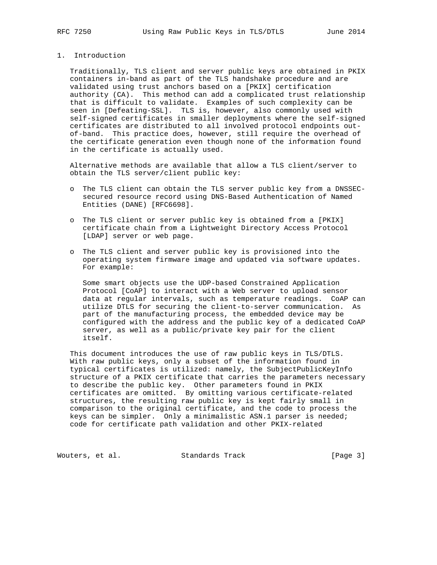## 1. Introduction

 Traditionally, TLS client and server public keys are obtained in PKIX containers in-band as part of the TLS handshake procedure and are validated using trust anchors based on a [PKIX] certification authority (CA). This method can add a complicated trust relationship that is difficult to validate. Examples of such complexity can be seen in [Defeating-SSL]. TLS is, however, also commonly used with self-signed certificates in smaller deployments where the self-signed certificates are distributed to all involved protocol endpoints out of-band. This practice does, however, still require the overhead of the certificate generation even though none of the information found in the certificate is actually used.

 Alternative methods are available that allow a TLS client/server to obtain the TLS server/client public key:

- o The TLS client can obtain the TLS server public key from a DNSSEC secured resource record using DNS-Based Authentication of Named Entities (DANE) [RFC6698].
- o The TLS client or server public key is obtained from a [PKIX] certificate chain from a Lightweight Directory Access Protocol [LDAP] server or web page.
- o The TLS client and server public key is provisioned into the operating system firmware image and updated via software updates. For example:

 Some smart objects use the UDP-based Constrained Application Protocol [CoAP] to interact with a Web server to upload sensor data at regular intervals, such as temperature readings. CoAP can utilize DTLS for securing the client-to-server communication. As part of the manufacturing process, the embedded device may be configured with the address and the public key of a dedicated CoAP server, as well as a public/private key pair for the client itself.

 This document introduces the use of raw public keys in TLS/DTLS. With raw public keys, only a subset of the information found in typical certificates is utilized: namely, the SubjectPublicKeyInfo structure of a PKIX certificate that carries the parameters necessary to describe the public key. Other parameters found in PKIX certificates are omitted. By omitting various certificate-related structures, the resulting raw public key is kept fairly small in comparison to the original certificate, and the code to process the keys can be simpler. Only a minimalistic ASN.1 parser is needed; code for certificate path validation and other PKIX-related

Wouters, et al. Standards Track [Page 3]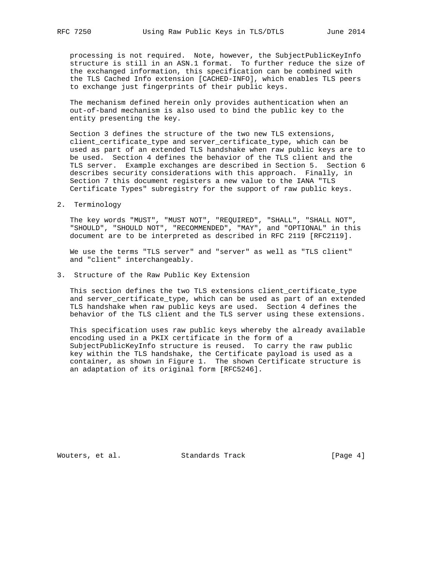processing is not required. Note, however, the SubjectPublicKeyInfo structure is still in an ASN.1 format. To further reduce the size of the exchanged information, this specification can be combined with the TLS Cached Info extension [CACHED-INFO], which enables TLS peers to exchange just fingerprints of their public keys.

 The mechanism defined herein only provides authentication when an out-of-band mechanism is also used to bind the public key to the entity presenting the key.

 Section 3 defines the structure of the two new TLS extensions, client\_certificate\_type and server\_certificate\_type, which can be used as part of an extended TLS handshake when raw public keys are to be used. Section 4 defines the behavior of the TLS client and the TLS server. Example exchanges are described in Section 5. Section 6 describes security considerations with this approach. Finally, in Section 7 this document registers a new value to the IANA "TLS Certificate Types" subregistry for the support of raw public keys.

2. Terminology

 The key words "MUST", "MUST NOT", "REQUIRED", "SHALL", "SHALL NOT", "SHOULD", "SHOULD NOT", "RECOMMENDED", "MAY", and "OPTIONAL" in this document are to be interpreted as described in RFC 2119 [RFC2119].

 We use the terms "TLS server" and "server" as well as "TLS client" and "client" interchangeably.

3. Structure of the Raw Public Key Extension

 This section defines the two TLS extensions client\_certificate\_type and server\_certificate\_type, which can be used as part of an extended TLS handshake when raw public keys are used. Section 4 defines the behavior of the TLS client and the TLS server using these extensions.

 This specification uses raw public keys whereby the already available encoding used in a PKIX certificate in the form of a SubjectPublicKeyInfo structure is reused. To carry the raw public key within the TLS handshake, the Certificate payload is used as a container, as shown in Figure 1. The shown Certificate structure is an adaptation of its original form [RFC5246].

Wouters, et al. Standards Track [Page 4]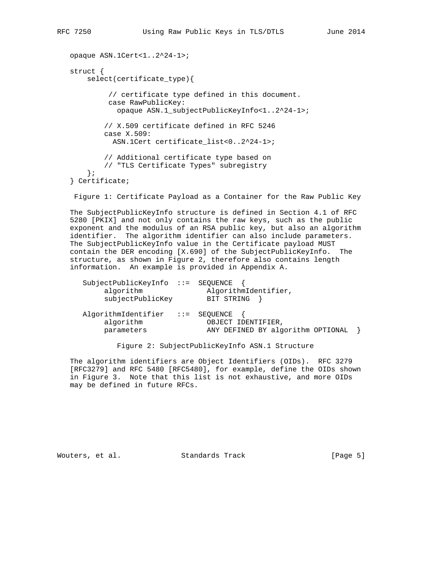```
 opaque ASN.1Cert<1..2^24-1>;
 struct {
    select(certificate type){
          // certificate type defined in this document.
          case RawPublicKey:
            opaque ASN.1_subjectPublicKeyInfo<1..2^24-1>;
         // X.509 certificate defined in RFC 5246
         case X.509:
           ASN.1Cert certificate_list<0..2^24-1>;
         // Additional certificate type based on
         // "TLS Certificate Types" subregistry
     };
 } Certificate;
```
Figure 1: Certificate Payload as a Container for the Raw Public Key

 The SubjectPublicKeyInfo structure is defined in Section 4.1 of RFC 5280 [PKIX] and not only contains the raw keys, such as the public exponent and the modulus of an RSA public key, but also an algorithm identifier. The algorithm identifier can also include parameters. The SubjectPublicKeyInfo value in the Certificate payload MUST contain the DER encoding [X.690] of the SubjectPublicKeyInfo. The structure, as shown in Figure 2, therefore also contains length information. An example is provided in Appendix A.

| SubjectPublicKeyInfo ::= SEOUENCE<br>algorithm<br>subjectPublicKey | AlgorithmIdentifier,<br>BIT STRING                                                  |  |
|--------------------------------------------------------------------|-------------------------------------------------------------------------------------|--|
| AlgorithmIdentifier<br>algorithm<br>parameters                     | $\, : \, := \,$ SEOUENCE<br>OBJECT IDENTIFIER,<br>ANY DEFINED BY algorithm OPTIONAL |  |

Figure 2: SubjectPublicKeyInfo ASN.1 Structure

 The algorithm identifiers are Object Identifiers (OIDs). RFC 3279 [RFC3279] and RFC 5480 [RFC5480], for example, define the OIDs shown in Figure 3. Note that this list is not exhaustive, and more OIDs may be defined in future RFCs.

Wouters, et al. Standards Track [Page 5]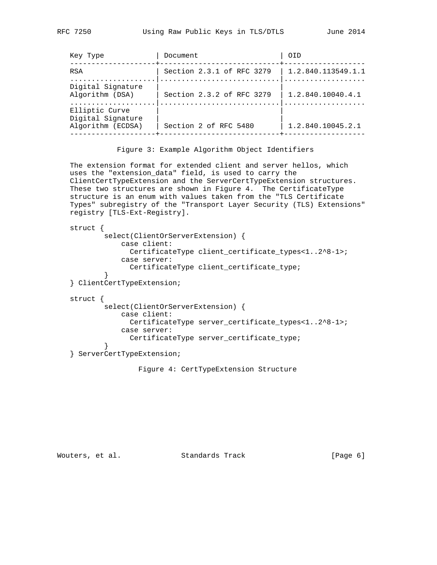| Key Type                                                 | Document                  | OTD                |
|----------------------------------------------------------|---------------------------|--------------------|
| <b>RSA</b>                                               | Section 2.3.1 of RFC 3279 | 1.2.840.113549.1.1 |
| Digital Signature<br>Algorithm (DSA)                     | Section 2.3.2 of RFC 3279 | 1.2.840.10040.4.1  |
| Elliptic Curve<br>Digital Signature<br>Algorithm (ECDSA) | Section 2 of RFC 5480     | 1.2.840.10045.2.1  |
|                                                          |                           |                    |

Figure 3: Example Algorithm Object Identifiers

 The extension format for extended client and server hellos, which uses the "extension\_data" field, is used to carry the ClientCertTypeExtension and the ServerCertTypeExtension structures. These two structures are shown in Figure 4. The CertificateType structure is an enum with values taken from the "TLS Certificate Types" subregistry of the "Transport Layer Security (TLS) Extensions" registry [TLS-Ext-Registry].

```
 struct {
           select(ClientOrServerExtension) {
               case client:
                 CertificateType client_certificate_types<1..2^8-1>;
               case server:
                 CertificateType client_certificate_type;
 }
   } ClientCertTypeExtension;
   struct {
           select(ClientOrServerExtension) {
               case client:
                 CertificateType server_certificate_types<1..2^8-1>;
               case server:
                 CertificateType server_certificate_type;
 }
   } ServerCertTypeExtension;
```
Figure 4: CertTypeExtension Structure

Wouters, et al. Standards Track [Page 6]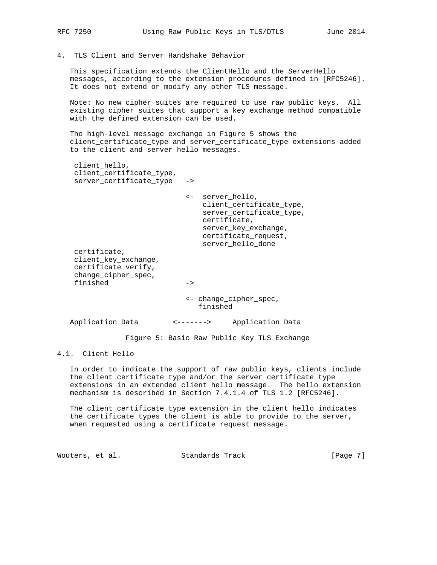4. TLS Client and Server Handshake Behavior

 This specification extends the ClientHello and the ServerHello messages, according to the extension procedures defined in [RFC5246]. It does not extend or modify any other TLS message.

 Note: No new cipher suites are required to use raw public keys. All existing cipher suites that support a key exchange method compatible with the defined extension can be used.

 The high-level message exchange in Figure 5 shows the client\_certificate\_type and server\_certificate\_type extensions added to the client and server hello messages.

 client\_hello, client\_certificate\_type, server\_certificate\_type ->

> <- server\_hello, client\_certificate\_type, server\_certificate\_type, certificate, server\_key\_exchange, certificate\_request, server\_hello\_done

 client\_key\_exchange, certificate\_verify, change\_cipher\_spec, finished ->

> <- change\_cipher\_spec, finished

Application Data <-------> Application Data

certificate,

Figure 5: Basic Raw Public Key TLS Exchange

4.1. Client Hello

 In order to indicate the support of raw public keys, clients include the client\_certificate\_type and/or the server\_certificate\_type extensions in an extended client hello message. The hello extension mechanism is described in Section 7.4.1.4 of TLS 1.2 [RFC5246].

 The client\_certificate\_type extension in the client hello indicates the certificate types the client is able to provide to the server, when requested using a certificate\_request message.

Wouters, et al. Standards Track [Page 7]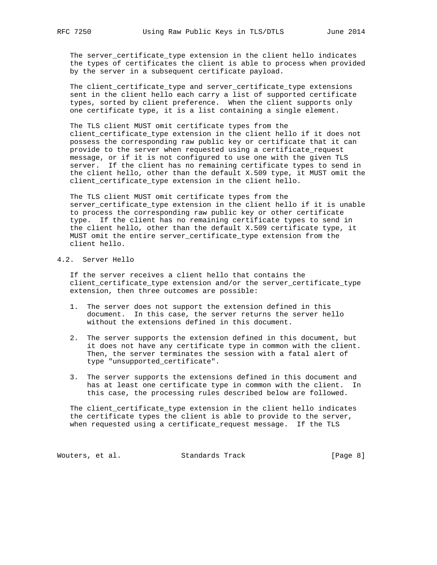The server\_certificate\_type extension in the client hello indicates the types of certificates the client is able to process when provided by the server in a subsequent certificate payload.

 The client\_certificate\_type and server\_certificate\_type extensions sent in the client hello each carry a list of supported certificate types, sorted by client preference. When the client supports only one certificate type, it is a list containing a single element.

 The TLS client MUST omit certificate types from the client\_certificate\_type extension in the client hello if it does not possess the corresponding raw public key or certificate that it can provide to the server when requested using a certificate\_request message, or if it is not configured to use one with the given TLS server. If the client has no remaining certificate types to send in the client hello, other than the default X.509 type, it MUST omit the client\_certificate\_type extension in the client hello.

 The TLS client MUST omit certificate types from the server\_certificate\_type extension in the client hello if it is unable to process the corresponding raw public key or other certificate type. If the client has no remaining certificate types to send in the client hello, other than the default X.509 certificate type, it MUST omit the entire server\_certificate\_type extension from the client hello.

# 4.2. Server Hello

 If the server receives a client hello that contains the client\_certificate\_type extension and/or the server\_certificate\_type extension, then three outcomes are possible:

- 1. The server does not support the extension defined in this document. In this case, the server returns the server hello without the extensions defined in this document.
- 2. The server supports the extension defined in this document, but it does not have any certificate type in common with the client. Then, the server terminates the session with a fatal alert of type "unsupported\_certificate".
- 3. The server supports the extensions defined in this document and has at least one certificate type in common with the client. In this case, the processing rules described below are followed.

 The client\_certificate\_type extension in the client hello indicates the certificate types the client is able to provide to the server, when requested using a certificate\_request message. If the TLS

Wouters, et al. Standards Track [Page 8]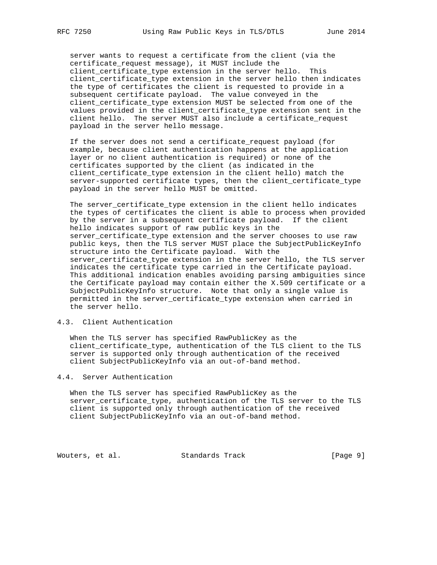server wants to request a certificate from the client (via the certificate\_request message), it MUST include the client\_certificate\_type extension in the server hello. This client\_certificate\_type extension in the server hello then indicates the type of certificates the client is requested to provide in a subsequent certificate payload. The value conveyed in the client\_certificate\_type extension MUST be selected from one of the values provided in the client\_certificate\_type extension sent in the client hello. The server MUST also include a certificate\_request payload in the server hello message.

 If the server does not send a certificate\_request payload (for example, because client authentication happens at the application layer or no client authentication is required) or none of the certificates supported by the client (as indicated in the client\_certificate\_type extension in the client hello) match the server-supported certificate types, then the client\_certificate\_type payload in the server hello MUST be omitted.

 The server\_certificate\_type extension in the client hello indicates the types of certificates the client is able to process when provided by the server in a subsequent certificate payload. If the client hello indicates support of raw public keys in the server\_certificate\_type extension and the server chooses to use raw public keys, then the TLS server MUST place the SubjectPublicKeyInfo structure into the Certificate payload. With the server\_certificate\_type extension in the server hello, the TLS server indicates the certificate type carried in the Certificate payload. This additional indication enables avoiding parsing ambiguities since the Certificate payload may contain either the X.509 certificate or a SubjectPublicKeyInfo structure. Note that only a single value is permitted in the server\_certificate\_type extension when carried in the server hello.

## 4.3. Client Authentication

 When the TLS server has specified RawPublicKey as the client\_certificate\_type, authentication of the TLS client to the TLS server is supported only through authentication of the received client SubjectPublicKeyInfo via an out-of-band method.

### 4.4. Server Authentication

 When the TLS server has specified RawPublicKey as the server\_certificate\_type, authentication of the TLS server to the TLS client is supported only through authentication of the received client SubjectPublicKeyInfo via an out-of-band method.

Wouters, et al. Standards Track [Page 9]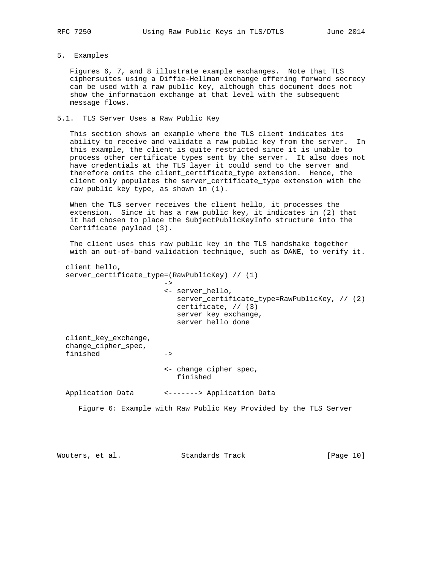## 5. Examples

 Figures 6, 7, and 8 illustrate example exchanges. Note that TLS ciphersuites using a Diffie-Hellman exchange offering forward secrecy can be used with a raw public key, although this document does not show the information exchange at that level with the subsequent message flows.

## 5.1. TLS Server Uses a Raw Public Key

 This section shows an example where the TLS client indicates its ability to receive and validate a raw public key from the server. In this example, the client is quite restricted since it is unable to process other certificate types sent by the server. It also does not have credentials at the TLS layer it could send to the server and therefore omits the client\_certificate\_type extension. Hence, the client only populates the server\_certificate\_type extension with the raw public key type, as shown in (1).

 When the TLS server receives the client hello, it processes the extension. Since it has a raw public key, it indicates in (2) that it had chosen to place the SubjectPublicKeyInfo structure into the Certificate payload (3).

 The client uses this raw public key in the TLS handshake together with an out-of-band validation technique, such as DANE, to verify it.

```
 client_hello,
  server_certificate_type=(RawPublicKey) // (1)
\rightarrow <- server_hello,
                          server_certificate_type=RawPublicKey, // (2)
                           certificate, // (3)
                           server_key_exchange,
                           server_hello_done
  client_key_exchange,
  change_cipher_spec,
  finished ->
                        <- change_cipher_spec,
                           finished
  Application Data <-------> Application Data
     Figure 6: Example with Raw Public Key Provided by the TLS Server
```
Wouters, et al. Standards Track [Page 10]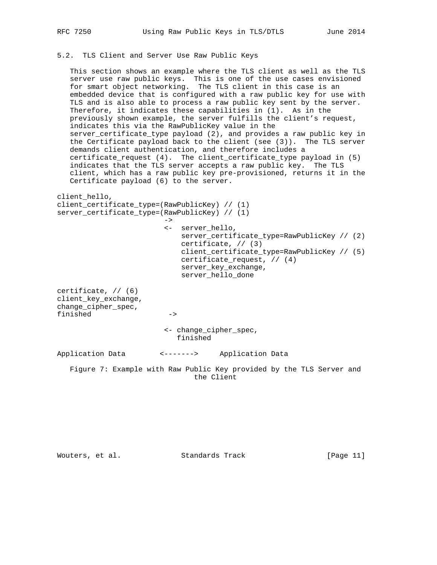## 5.2. TLS Client and Server Use Raw Public Keys

 This section shows an example where the TLS client as well as the TLS server use raw public keys. This is one of the use cases envisioned for smart object networking. The TLS client in this case is an embedded device that is configured with a raw public key for use with TLS and is also able to process a raw public key sent by the server. Therefore, it indicates these capabilities in (1). As in the previously shown example, the server fulfills the client's request, indicates this via the RawPublicKey value in the server\_certificate\_type payload (2), and provides a raw public key in the Certificate payload back to the client (see (3)). The TLS server demands client authentication, and therefore includes a certificate\_request (4). The client\_certificate\_type payload in (5) indicates that the TLS server accepts a raw public key. The TLS client, which has a raw public key pre-provisioned, returns it in the Certificate payload (6) to the server.

```
client_hello,
client_certificate_type=(RawPublicKey) // (1)
server_certificate_type=(RawPublicKey) // (1)
 ->
                        <- server_hello,
                           server_certificate_type=RawPublicKey // (2)
                           certificate, // (3)
                           client_certificate_type=RawPublicKey // (5)
                           certificate_request, // (4)
                          server key exchange,
                           server_hello_done
certificate, // (6)
client_key_exchange,
change_cipher_spec,
finished ->
                        <- change_cipher_spec,
                          finished
Application Data <-------> Application Data
```
 Figure 7: Example with Raw Public Key provided by the TLS Server and the Client

Wouters, et al. Standards Track [Page 11]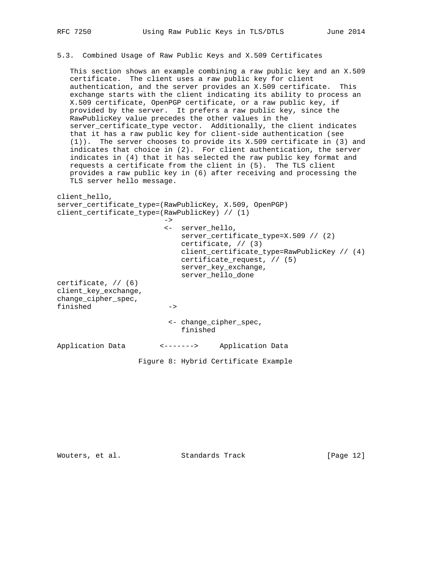## 5.3. Combined Usage of Raw Public Keys and X.509 Certificates

 This section shows an example combining a raw public key and an X.509 certificate. The client uses a raw public key for client authentication, and the server provides an X.509 certificate. This exchange starts with the client indicating its ability to process an X.509 certificate, OpenPGP certificate, or a raw public key, if provided by the server. It prefers a raw public key, since the RawPublicKey value precedes the other values in the server\_certificate\_type vector. Additionally, the client indicates that it has a raw public key for client-side authentication (see (1)). The server chooses to provide its X.509 certificate in (3) and indicates that choice in (2). For client authentication, the server indicates in (4) that it has selected the raw public key format and requests a certificate from the client in (5). The TLS client provides a raw public key in (6) after receiving and processing the TLS server hello message.

```
client_hello,
server_certificate_type=(RawPublicKey, X.509, OpenPGP)
client_certificate_type=(RawPublicKey) // (1)
 ->
                        <- server_hello,
                          server_certificate_type=X.509 // (2)
                           certificate, // (3)
                           client_certificate_type=RawPublicKey // (4)
                           certificate_request, // (5)
                           server_key_exchange,
                           server_hello_done
certificate, // (6)
client_key_exchange,
change_cipher_spec,
finished ->
                        <- change_cipher_spec,
                           finished
Application Data <-------> Application Data
```
Figure 8: Hybrid Certificate Example

Wouters, et al. Standards Track [Page 12]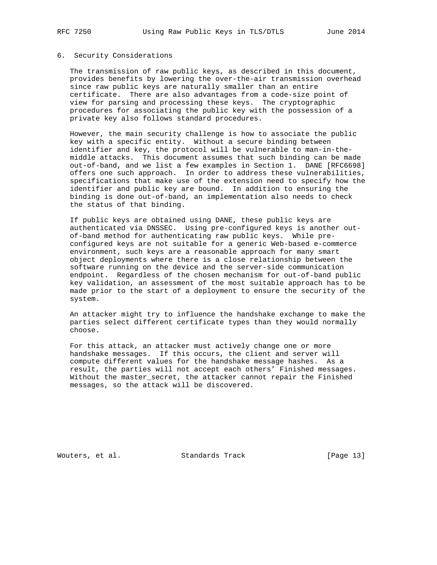### 6. Security Considerations

 The transmission of raw public keys, as described in this document, provides benefits by lowering the over-the-air transmission overhead since raw public keys are naturally smaller than an entire certificate. There are also advantages from a code-size point of view for parsing and processing these keys. The cryptographic procedures for associating the public key with the possession of a private key also follows standard procedures.

 However, the main security challenge is how to associate the public key with a specific entity. Without a secure binding between identifier and key, the protocol will be vulnerable to man-in-the middle attacks. This document assumes that such binding can be made out-of-band, and we list a few examples in Section 1. DANE [RFC6698] offers one such approach. In order to address these vulnerabilities, specifications that make use of the extension need to specify how the identifier and public key are bound. In addition to ensuring the binding is done out-of-band, an implementation also needs to check the status of that binding.

 If public keys are obtained using DANE, these public keys are authenticated via DNSSEC. Using pre-configured keys is another out of-band method for authenticating raw public keys. While pre configured keys are not suitable for a generic Web-based e-commerce environment, such keys are a reasonable approach for many smart object deployments where there is a close relationship between the software running on the device and the server-side communication endpoint. Regardless of the chosen mechanism for out-of-band public key validation, an assessment of the most suitable approach has to be made prior to the start of a deployment to ensure the security of the system.

 An attacker might try to influence the handshake exchange to make the parties select different certificate types than they would normally choose.

 For this attack, an attacker must actively change one or more handshake messages. If this occurs, the client and server will compute different values for the handshake message hashes. As a result, the parties will not accept each others' Finished messages. Without the master\_secret, the attacker cannot repair the Finished messages, so the attack will be discovered.

Wouters, et al. Standards Track [Page 13]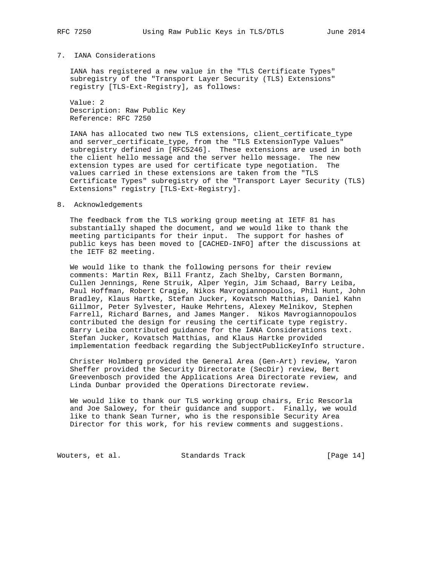### 7. IANA Considerations

 IANA has registered a new value in the "TLS Certificate Types" subregistry of the "Transport Layer Security (TLS) Extensions" registry [TLS-Ext-Registry], as follows:

 Value: 2 Description: Raw Public Key Reference: RFC 7250

 IANA has allocated two new TLS extensions, client\_certificate\_type and server\_certificate\_type, from the "TLS ExtensionType Values" subregistry defined in [RFC5246]. These extensions are used in both the client hello message and the server hello message. The new extension types are used for certificate type negotiation. The values carried in these extensions are taken from the "TLS Certificate Types" subregistry of the "Transport Layer Security (TLS) Extensions" registry [TLS-Ext-Registry].

8. Acknowledgements

 The feedback from the TLS working group meeting at IETF 81 has substantially shaped the document, and we would like to thank the meeting participants for their input. The support for hashes of public keys has been moved to [CACHED-INFO] after the discussions at the IETF 82 meeting.

 We would like to thank the following persons for their review comments: Martin Rex, Bill Frantz, Zach Shelby, Carsten Bormann, Cullen Jennings, Rene Struik, Alper Yegin, Jim Schaad, Barry Leiba, Paul Hoffman, Robert Cragie, Nikos Mavrogiannopoulos, Phil Hunt, John Bradley, Klaus Hartke, Stefan Jucker, Kovatsch Matthias, Daniel Kahn Gillmor, Peter Sylvester, Hauke Mehrtens, Alexey Melnikov, Stephen Farrell, Richard Barnes, and James Manger. Nikos Mavrogiannopoulos contributed the design for reusing the certificate type registry. Barry Leiba contributed guidance for the IANA Considerations text. Stefan Jucker, Kovatsch Matthias, and Klaus Hartke provided implementation feedback regarding the SubjectPublicKeyInfo structure.

 Christer Holmberg provided the General Area (Gen-Art) review, Yaron Sheffer provided the Security Directorate (SecDir) review, Bert Greevenbosch provided the Applications Area Directorate review, and Linda Dunbar provided the Operations Directorate review.

 We would like to thank our TLS working group chairs, Eric Rescorla and Joe Salowey, for their guidance and support. Finally, we would like to thank Sean Turner, who is the responsible Security Area Director for this work, for his review comments and suggestions.

Wouters, et al. Standards Track [Page 14]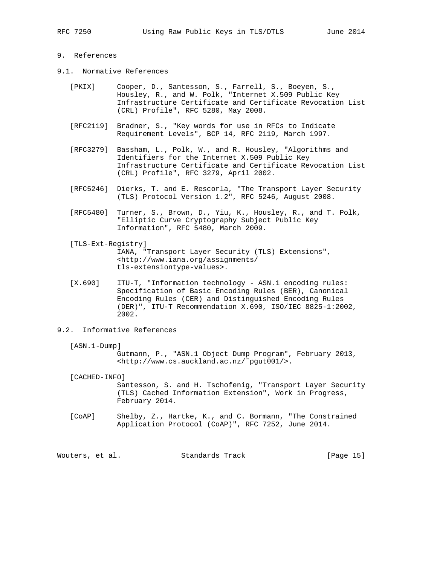## 9. References

- 9.1. Normative References
	- [PKIX] Cooper, D., Santesson, S., Farrell, S., Boeyen, S., Housley, R., and W. Polk, "Internet X.509 Public Key Infrastructure Certificate and Certificate Revocation List (CRL) Profile", RFC 5280, May 2008.
	- [RFC2119] Bradner, S., "Key words for use in RFCs to Indicate Requirement Levels", BCP 14, RFC 2119, March 1997.
	- [RFC3279] Bassham, L., Polk, W., and R. Housley, "Algorithms and Identifiers for the Internet X.509 Public Key Infrastructure Certificate and Certificate Revocation List (CRL) Profile", RFC 3279, April 2002.
	- [RFC5246] Dierks, T. and E. Rescorla, "The Transport Layer Security (TLS) Protocol Version 1.2", RFC 5246, August 2008.
	- [RFC5480] Turner, S., Brown, D., Yiu, K., Housley, R., and T. Polk, "Elliptic Curve Cryptography Subject Public Key Information", RFC 5480, March 2009.
	- [TLS-Ext-Registry] IANA, "Transport Layer Security (TLS) Extensions", <http://www.iana.org/assignments/ tls-extensiontype-values>.
	- [X.690] ITU-T, "Information technology ASN.1 encoding rules: Specification of Basic Encoding Rules (BER), Canonical Encoding Rules (CER) and Distinguished Encoding Rules (DER)", ITU-T Recommendation X.690, ISO/IEC 8825-1:2002, 2002.
- 9.2. Informative References
	- [ASN.1-Dump]

 Gutmann, P., "ASN.1 Object Dump Program", February 2013, <http://www.cs.auckland.ac.nz/˜pgut001/>.

[CACHED-INFO]

 Santesson, S. and H. Tschofenig, "Transport Layer Security (TLS) Cached Information Extension", Work in Progress, February 2014.

 [CoAP] Shelby, Z., Hartke, K., and C. Bormann, "The Constrained Application Protocol (CoAP)", RFC 7252, June 2014.

Wouters, et al. Standards Track [Page 15]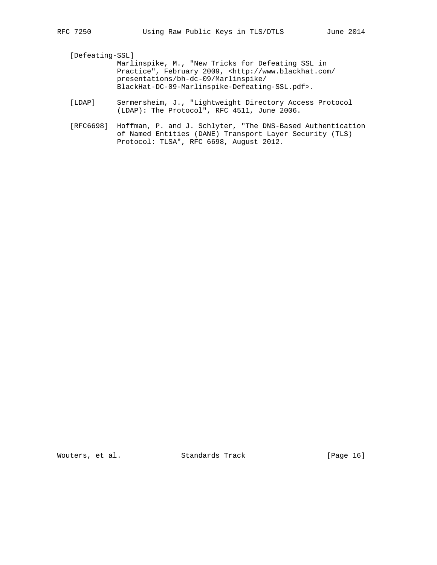[Defeating-SSL]

 Marlinspike, M., "New Tricks for Defeating SSL in Practice", February 2009, <http://www.blackhat.com/ presentations/bh-dc-09/Marlinspike/ BlackHat-DC-09-Marlinspike-Defeating-SSL.pdf>.

- [LDAP] Sermersheim, J., "Lightweight Directory Access Protocol (LDAP): The Protocol", RFC 4511, June 2006.
- [RFC6698] Hoffman, P. and J. Schlyter, "The DNS-Based Authentication of Named Entities (DANE) Transport Layer Security (TLS) Protocol: TLSA", RFC 6698, August 2012.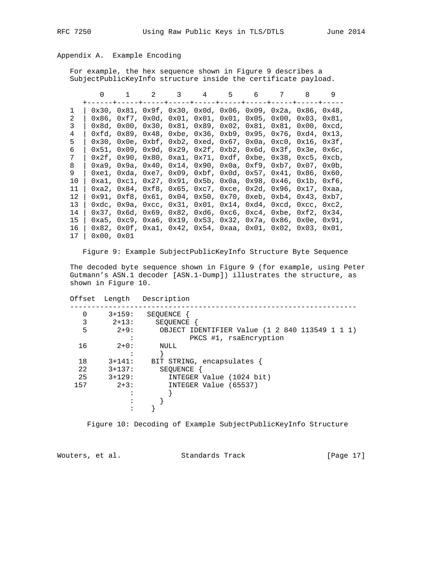# Appendix A. Example Encoding

 For example, the hex sequence shown in Figure 9 describes a SubjectPublicKeyInfo structure inside the certificate payload.

|               | <sup>n</sup> |                                                                                                                                                            |  | 2 3 4 5 6 7 8 |  | 9 |
|---------------|--------------|------------------------------------------------------------------------------------------------------------------------------------------------------------|--|---------------|--|---|
| 1             |              | $0x30$ , $0x81$ , $0x9f$ , $0x30$ , $0x0d$ , $0x06$ , $0x09$ , $0x2a$ , $0x86$ , $0x48$ ,                                                                  |  |               |  |   |
| $\mathcal{L}$ |              | $0x86$ , $0xf7$ , $0x0d$ , $0x01$ , $0x01$ , $0x01$ , $0x05$ , $0x00$ , $0x03$ , $0x81$ ,                                                                  |  |               |  |   |
| 3             |              | $0x8d, 0x00, 0x30, 0x81, 0x89, 0x02, 0x81, 0x81, 0x00, 0xcd,$                                                                                              |  |               |  |   |
| 4             |              | $0xfd, 0x89, 0x48, 0xbe, 0x36, 0xb9, 0x95, 0x76, 0xd4, 0x13,$                                                                                              |  |               |  |   |
| 5             |              | $0x30$ , $0x0e$ , $0xbf$ , $0xb2$ , $0xed$ , $0x67$ , $0x0a$ , $0xc0$ , $0x16$ , $0x3f$ ,                                                                  |  |               |  |   |
| 6             |              | $0x51$ , $0x09$ , $0x9d$ , $0x29$ , $0x2f$ , $0xb2$ , $0x6d$ , $0x3f$ , $0x3e$ , $0x6c$ ,                                                                  |  |               |  |   |
| 7             |              | $0x2f$ , $0x90$ , $0x80$ , $0xa1$ , $0x71$ , $0xdf$ , $0xbe$ , $0x38$ , $0xc5$ , $0xcb$ ,                                                                  |  |               |  |   |
| 8             |              | $0xa9$ , $0x9a$ , $0x40$ , $0x14$ , $0x90$ , $0x0a$ , $0xf9$ , $0xb7$ , $0x07$ , $0x0b$ ,                                                                  |  |               |  |   |
| 9             |              | $0xe1, 0xda, 0xe7, 0x09, 0xbf, 0x0d, 0x57, 0x41, 0x86, 0x60,$                                                                                              |  |               |  |   |
| 10            |              | $0xa1$ , $0xc1$ , $0x27$ , $0x91$ , $0x5b$ , $0x0a$ , $0x98$ , $0x46$ , $0x1b$ , $0xf6$ ,                                                                  |  |               |  |   |
| 11            |              | 0xa2, 0x84, 0xf8, 0x65, 0xc7, 0xce, 0x2d, 0x96, 0x17, 0xaa,                                                                                                |  |               |  |   |
| 12            |              | $0x91, 0xf8, 0x61, 0x04, 0x50, 0x70, 0xeb, 0xb4, 0x43, 0xb7,$                                                                                              |  |               |  |   |
| 13            |              | $0 \times d$ c, $0 \times 9a$ , $0 \times c$ , $0 \times 31$ , $0 \times 01$ , $0 \times 14$ , $0 \times d$ , $0 \times c$ , $0 \times c$ , $0 \times c$ , |  |               |  |   |
| 14            |              | $0x37$ , $0x6d$ , $0x69$ , $0x82$ , $0xd6$ , $0xc6$ , $0xc4$ , $0xbe$ , $0xf2$ , $0x34$ ,                                                                  |  |               |  |   |
| 15            |              | 0xa5, 0xc9, 0xa6, 0x19, 0x53, 0x32, 0x7a, 0x86, 0x0e, 0x91,                                                                                                |  |               |  |   |
| 16            |              | $0x82$ , $0x0f$ , $0xa1$ , $0x42$ , $0x54$ , $0xaa$ , $0x01$ , $0x02$ , $0x03$ , $0x01$ ,                                                                  |  |               |  |   |
| 17            | 0x00.0x01    |                                                                                                                                                            |  |               |  |   |

Figure 9: Example SubjectPublicKeyInfo Structure Byte Sequence

 The decoded byte sequence shown in Figure 9 (for example, using Peter Gutmann's ASN.1 decoder [ASN.1-Dump]) illustrates the structure, as shown in Figure 10.

| Offset   | Length   | Description                                    |
|----------|----------|------------------------------------------------|
| $\Omega$ | $3+159:$ | SEOUENCE                                       |
| 3        | $2+13:$  | SEOUENCE                                       |
| 5        | $2+9:$   | OBJECT IDENTIFIER Value (1 2 840 113549 1 1 1) |
|          |          | PKCS #1, rsaEncryption                         |
| 16       | $2+0:$   | NULL                                           |
|          |          |                                                |
| 18       | $3+141:$ | BIT STRING, encapsulates {                     |
| 22       | $3+137:$ | SEOUENCE                                       |
| 25       | $3+129:$ | INTEGER Value (1024 bit)                       |
| 157      | $2+3:$   | INTEGER Value (65537)                          |
|          |          |                                                |
|          |          |                                                |
|          |          |                                                |

Figure 10: Decoding of Example SubjectPublicKeyInfo Structure

| Wouters, et al. | Standards Track | [Page 17] |  |
|-----------------|-----------------|-----------|--|
|                 |                 |           |  |